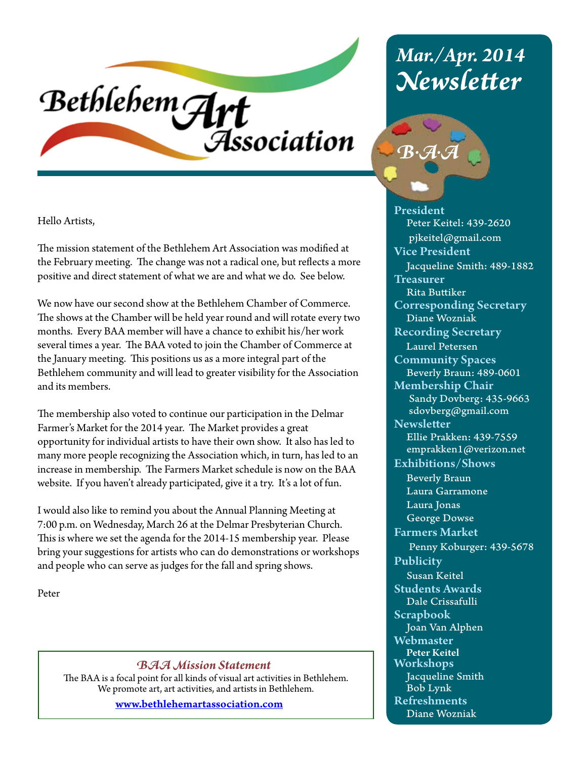# Bethlehem Art Association

Hello Artists,

The mission statement of the Bethlehem Art Association was modified at the February meeting. The change was not a radical one, but reflects a more positive and direct statement of what we are and what we do. See below.

We now have our second show at the Bethlehem Chamber of Commerce. The shows at the Chamber will be held year round and will rotate every two months. Every BAA member will have a chance to exhibit his/her work several times a year. The BAA voted to join the Chamber of Commerce at the January meeting. This positions us as a more integral part of the Bethlehem community and will lead to greater visibility for the Association and its members.

The membership also voted to continue our participation in the Delmar Farmer's Market for the 2014 year. The Market provides a great opportunity for individual artists to have their own show. It also has led to many more people recognizing the Association which, in turn, has led to an increase in membership. The Farmers Market schedule is now on the BAA website. If you haven't already participated, give it a try. It's a lot of fun.

I would also like to remind you about the Annual Planning Meeting at 7:00 p.m. on Wednesday, March 26 at the Delmar Presbyterian Church. This is where we set the agenda for the 2014-15 membership year. Please bring your suggestions for artists who can do demonstrations or workshops and people who can serve as judges for the fall and spring shows.

Peter

#### *BAA Mission Statement*

The BAA is a focal point for all kinds of visual art activities in Bethlehem. We promote art, art activities, and artists in Bethlehem.

www.bethlehemartassociation.com

## *Mar./Apr. 2014 Newsletter*



President Peter Keitel: 439-2620 pjkeitel@gmail.com Vice President Jacqueline Smith: 489-1882 **Treasurer**  Rita Buttiker Corresponding Secretary Diane Wozniak Recording Secretary Laurel Petersen Community Spaces Beverly Braun: 489-0601 Membership Chair Sandy Dovberg: 435-9663 sdovberg@gmail.com **Newsletter**  Ellie Prakken: 439-7559 emprakken1@verizon.net Exhibitions/Shows Beverly Braun Laura Garramone Laura Jonas George Dowse Farmers Market Penny Koburger: 439-5678 Publicity Susan Keitel Students Awards Dale Crissafulli Scrapbook Joan Van Alphen Webmaster Peter Keitel Workshops Jacqueline Smith Bob Lynk Refreshments Diane Wozniak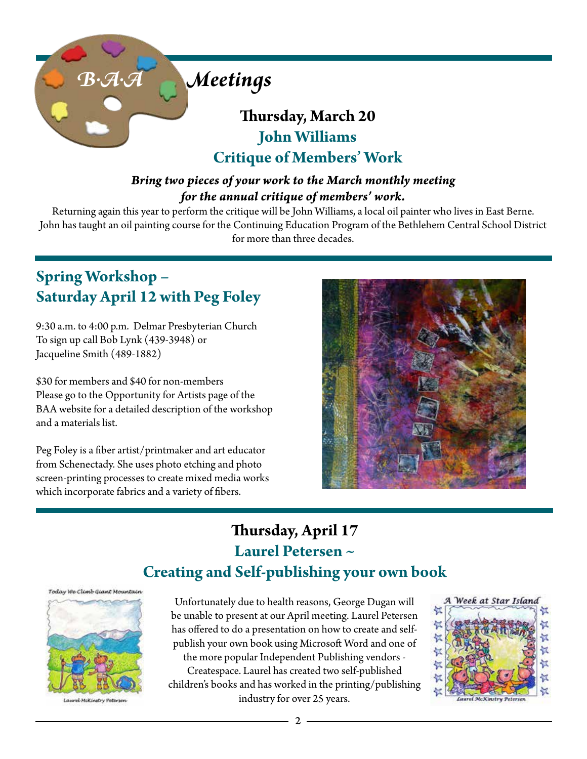

### **Thursday, March 20 John Williams Critique of Members' Work**

### *Bring two pieces of your work to the March monthly meeting for the annual critique of members' work.*

Returning again this year to perform the critique will be John Williams, a local oil painter who lives in East Berne. John has taught an oil painting course for the Continuing Education Program of the Bethlehem Central School District for more than three decades.

### **Spring Workshop – Saturday April 12 with Peg Foley**

9:30 a.m. to 4:00 p.m. Delmar Presbyterian Church To sign up call Bob Lynk (439-3948) or Jacqueline Smith (489-1882)

\$30 for members and \$40 for non-members Please go to the Opportunity for Artists page of the BAA website for a detailed description of the workshop and a materials list.

Peg Foley is a fiber artist/printmaker and art educator from Schenectady. She uses photo etching and photo screen-printing processes to create mixed media works which incorporate fabrics and a variety of fibers.



### **Thursday, April 17 Laurel Petersen ~ Creating and Self-publishing your own book**



Laurel-McKinstry Peterser

Unfortunately due to health reasons, George Dugan will be unable to present at our April meeting. Laurel Petersen has offered to do a presentation on how to create and selfpublish your own book using Microsoft Word and one of the more popular Independent Publishing vendors - Createspace. Laurel has created two self-published children's books and has worked in the printing/publishing industry for over 25 years.

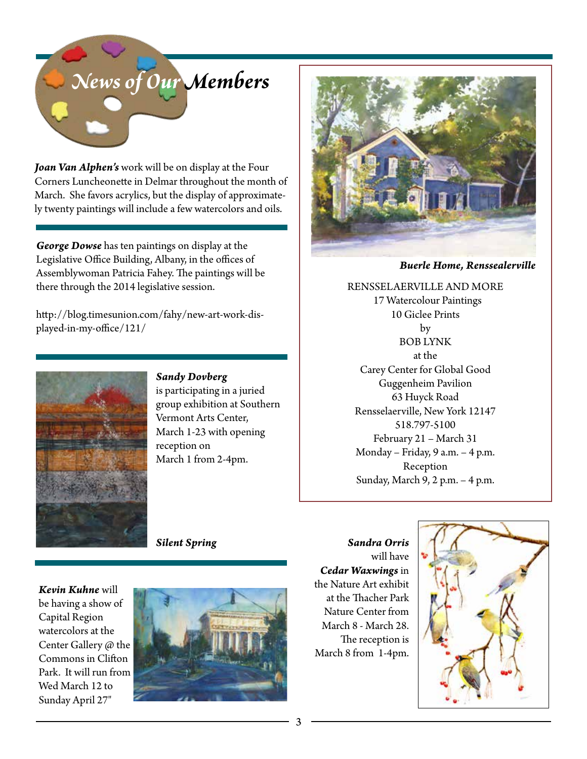

*Joan Van Alphen's* work will be on display at the Four Corners Luncheonette in Delmar throughout the month of March. She favors acrylics, but the display of approximately twenty paintings will include a few watercolors and oils.

*George Dowse* has ten paintings on display at the Legislative Office Building, Albany, in the offices of Assemblywoman Patricia Fahey. The paintings will be there through the 2014 legislative session.

http://blog.timesunion.com/fahy/new-art-work-displayed-in-my-office/121/



*Sandy Dovberg*  is participating in a juried group exhibition at Southern Vermont Arts Center, March 1-23 with opening reception on March 1 from 2-4pm.

*Buerle Home, Renssealerville*

RENSSELAERVILLE AND MORE 17 Watercolour Paintings 10 Giclee Prints by BOB LYNK at the Carey Center for Global Good Guggenheim Pavilion 63 Huyck Road Rensselaerville, New York 12147 518.797-5100 February 21 – March 31 Monday – Friday, 9 a.m. – 4 p.m. Reception Sunday, March 9, 2 p.m. – 4 p.m.

*Silent Spring*

*Kevin Kuhne* will be having a show of Capital Region watercolors at the Center Gallery @ the Commons in Clifton Park. It will run from Wed March 12 to Sunday April 27"



*Sandra Orris* will have *Cedar Waxwings* in the Nature Art exhibit at the Thacher Park Nature Center from March 8 - March 28. The reception is March 8 from 1-4pm.

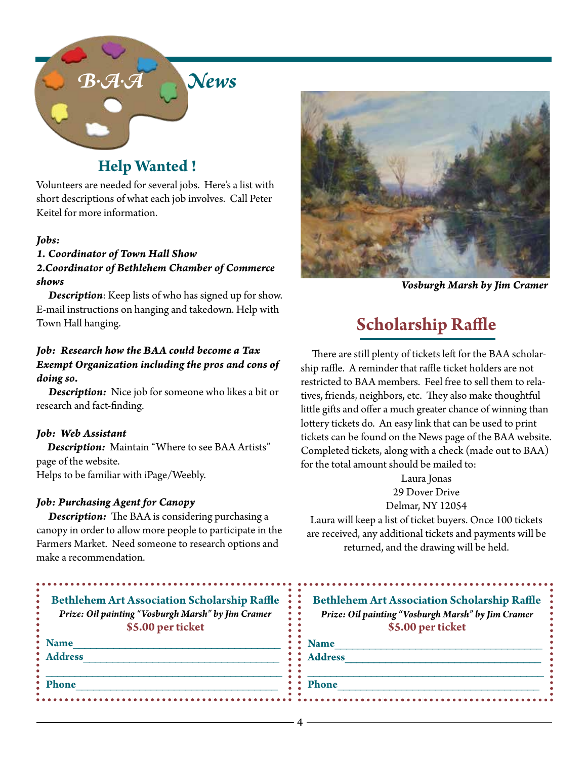

### **Help Wanted !**

Volunteers are needed for several jobs. Here's a list with short descriptions of what each job involves. Call Peter Keitel for more information.

#### *Jobs:*

#### *1. Coordinator of Town Hall Show 2.Coordinator of Bethlehem Chamber of Commerce shows*

 *Description*: Keep lists of who has signed up for show. E-mail instructions on hanging and takedown. Help with Town Hall hanging.

#### *Job: Research how the BAA could become a Tax Exempt Organization including the pros and cons of doing so.*

 *Description:* Nice job for someone who likes a bit or research and fact-finding.

#### *Job: Web Assistant*

 *Description:* Maintain "Where to see BAA Artists" page of the website. Helps to be familiar with iPage/Weebly.

#### *Job: Purchasing Agent for Canopy*

 *Description:* The BAA is considering purchasing a canopy in order to allow more people to participate in the Farmers Market. Need someone to research options and make a recommendation.



*Vosburgh Marsh by Jim Cramer*

### **Scholarship Raffle**

 There are still plenty of tickets left for the BAA scholarship raffle. A reminder that raffle ticket holders are not restricted to BAA members. Feel free to sell them to relatives, friends, neighbors, etc. They also make thoughtful little gifts and offer a much greater chance of winning than lottery tickets do. An easy link that can be used to print tickets can be found on the News page of the BAA website. Completed tickets, along with a check (made out to BAA) for the total amount should be mailed to:

> Laura Jonas 29 Dover Drive Delmar, NY 12054

Laura will keep a list of ticket buyers. Once 100 tickets are received, any additional tickets and payments will be returned, and the drawing will be held.

| Prize: Oil painting "Vosburgh Marsh" by Jim Cramer<br>\$5.00 per ticket | <b>Bethlehem Art Association Scholarship Raffle</b><br>Prize: Oil painting "Vosburgh Marsh" by Jim Cramer<br>\$5.00 per ticket |
|-------------------------------------------------------------------------|--------------------------------------------------------------------------------------------------------------------------------|
| <b>Name</b>                                                             | <b>Name</b>                                                                                                                    |
| <b>Address</b>                                                          | <b>Address</b>                                                                                                                 |
| <b>Phone</b>                                                            | <b>Phone</b>                                                                                                                   |

4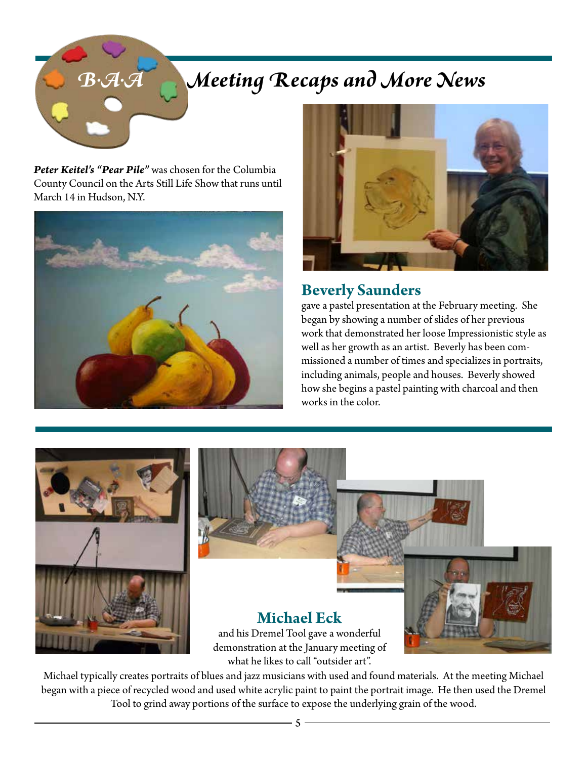# *B.A.A Meeting Recaps and More News*

*Peter Keitel's "Pear Pile"* was chosen for the Columbia County Council on the Arts Still Life Show that runs until March 14 in Hudson, N.Y.





### **Beverly Saunders**

gave a pastel presentation at the February meeting. She began by showing a number of slides of her previous work that demonstrated her loose Impressionistic style as well as her growth as an artist. Beverly has been commissioned a number of times and specializes in portraits, including animals, people and houses. Beverly showed how she begins a pastel painting with charcoal and then works in the color.





Michael typically creates portraits of blues and jazz musicians with used and found materials. At the meeting Michael began with a piece of recycled wood and used white acrylic paint to paint the portrait image. He then used the Dremel Tool to grind away portions of the surface to expose the underlying grain of the wood.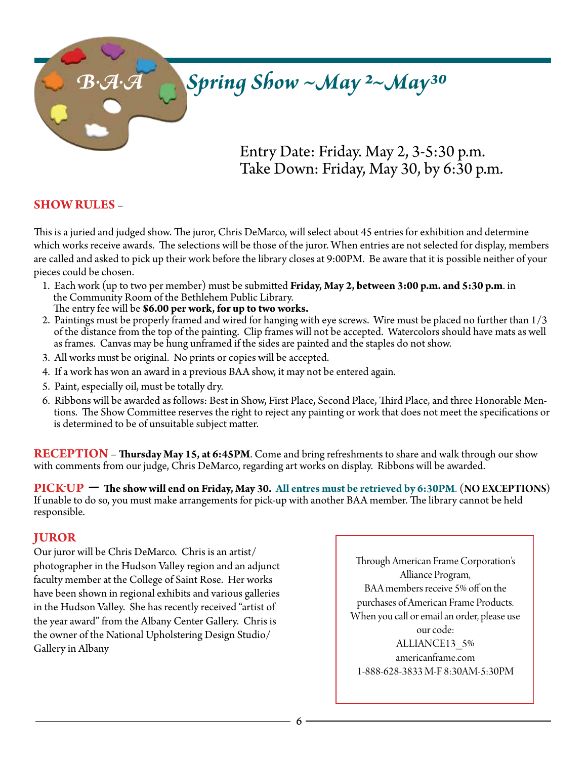### **B.A.A Spring Show ~May 2~May<sup>30</sup>**

Entry Date: Friday. May 2, 3-5:30 p.m. Take Down: Friday, May 30, by 6:30 p.m.

#### **SHOW RULES** –

This is a juried and judged show. The juror, Chris DeMarco, will select about 45 entries for exhibition and determine which works receive awards. The selections will be those of the juror. When entries are not selected for display, members are called and asked to pick up their work before the library closes at 9:00PM. Be aware that it is possible neither of your pieces could be chosen.

1. Each work (up to two per member) must be submitted **Friday, May 2, between 3:00 p.m. and 5:30 p.m**. in the Community Room of the Bethlehem Public Library.

The entry fee will be **\$6.00 per work, for up to two works.**

- 2. Paintings must be properly framed and wired for hanging with eye screws. Wire must be placed no further than 1/3 of the distance from the top of the painting. Clip frames will not be accepted. Watercolors should have mats as well as frames. Canvas may be hung unframed if the sides are painted and the staples do not show.
- 3. All works must be original. No prints or copies will be accepted.
- 4. If a work has won an award in a previous BAA show, it may not be entered again.
- 5. Paint, especially oil, must be totally dry.
- 6. Ribbons will be awarded as follows: Best in Show, First Place, Second Place, Third Place, and three Honorable Mentions. The Show Committee reserves the right to reject any painting or work that does not meet the specifications or is determined to be of unsuitable subject matter.

**RECEPTION** – **Thursday May 15, at 6:45PM**. Come and bring refreshments to share and walk through our show with comments from our judge, Chris DeMarco, regarding art works on display. Ribbons will be awarded.

**PICK-UP** – **The show will end on Friday, May 30. All entres must be retrieved by 6:30PM**. (**NO EXCEPTIONS)**  If unable to do so, you must make arrangements for pick-up with another BAA member. The library cannot be held responsible.

#### **JUROR**

Our juror will be Chris DeMarco. Chris is an artist/ photographer in the Hudson Valley region and an adjunct faculty member at the College of Saint Rose. Her works have been shown in regional exhibits and various galleries in the Hudson Valley. She has recently received "artist of the year award" from the Albany Center Gallery. Chris is the owner of the National Upholstering Design Studio/ Gallery in Albany

Through American Frame Corporation's Alliance Program, BAA members receive 5% off on the purchases of American Frame Products. When you call or email an order, please use our code: ALLIANCE13\_5% americanframe.com 1-888-628-3833 M-F 8:30AM-5:30PM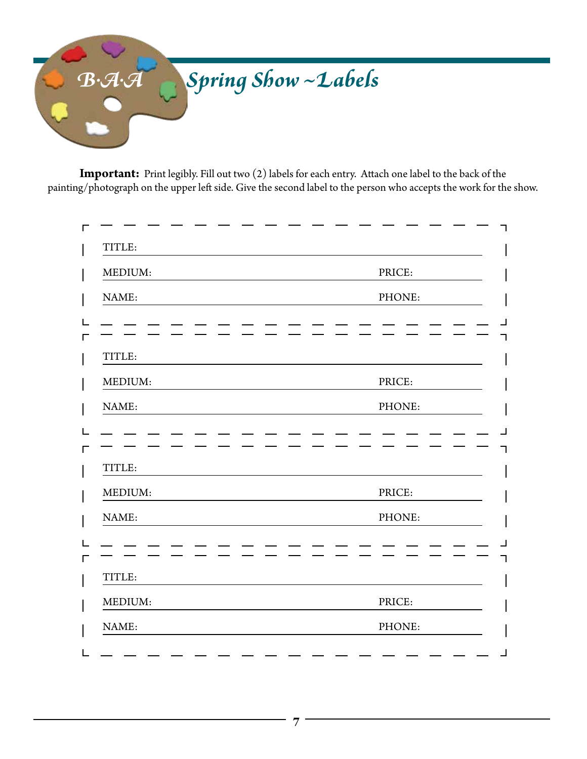

**Important:** Print legibly. Fill out two (2) labels for each entry. Attach one label to the back of the painting/photograph on the upper left side. Give the second label to the person who accepts the work for the show.

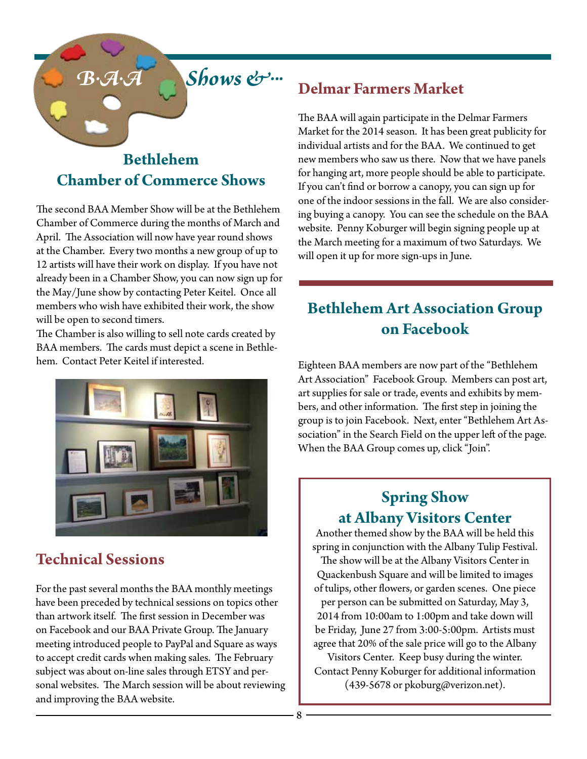### *B.A.A Shows &...*

### **Bethlehem Chamber of Commerce Shows**

The second BAA Member Show will be at the Bethlehem Chamber of Commerce during the months of March and April. The Association will now have year round shows at the Chamber. Every two months a new group of up to 12 artists will have their work on display. If you have not already been in a Chamber Show, you can now sign up for the May/June show by contacting Peter Keitel. Once all members who wish have exhibited their work, the show will be open to second timers.

The Chamber is also willing to sell note cards created by BAA members. The cards must depict a scene in Bethlehem. Contact Peter Keitel if interested.



### **Technical Sessions**

For the past several months the BAA monthly meetings have been preceded by technical sessions on topics other than artwork itself. The first session in December was on Facebook and our BAA Private Group. The January meeting introduced people to PayPal and Square as ways to accept credit cards when making sales. The February subject was about on-line sales through ETSY and personal websites. The March session will be about reviewing and improving the BAA website.

### **Delmar Farmers Market**

The BAA will again participate in the Delmar Farmers Market for the 2014 season. It has been great publicity for individual artists and for the BAA. We continued to get new members who saw us there. Now that we have panels for hanging art, more people should be able to participate. If you can't find or borrow a canopy, you can sign up for one of the indoor sessions in the fall. We are also considering buying a canopy. You can see the schedule on the BAA website. Penny Koburger will begin signing people up at the March meeting for a maximum of two Saturdays. We will open it up for more sign-ups in June.

### **Bethlehem Art Association Group on Facebook**

Eighteen BAA members are now part of the "Bethlehem Art Association" Facebook Group. Members can post art, art supplies for sale or trade, events and exhibits by members, and other information. The first step in joining the group is to join Facebook. Next, enter "Bethlehem Art Association" in the Search Field on the upper left of the page. When the BAA Group comes up, click "Join".

### **Spring Show at Albany Visitors Center**

Another themed show by the BAA will be held this spring in conjunction with the Albany Tulip Festival.

The show will be at the Albany Visitors Center in Quackenbush Square and will be limited to images of tulips, other flowers, or garden scenes. One piece per person can be submitted on Saturday, May 3, 2014 from 10:00am to 1:00pm and take down will be Friday, June 27 from 3:00-5:00pm. Artists must agree that 20% of the sale price will go to the Albany

Visitors Center. Keep busy during the winter. Contact Penny Koburger for additional information (439-5678 or pkoburg@verizon.net).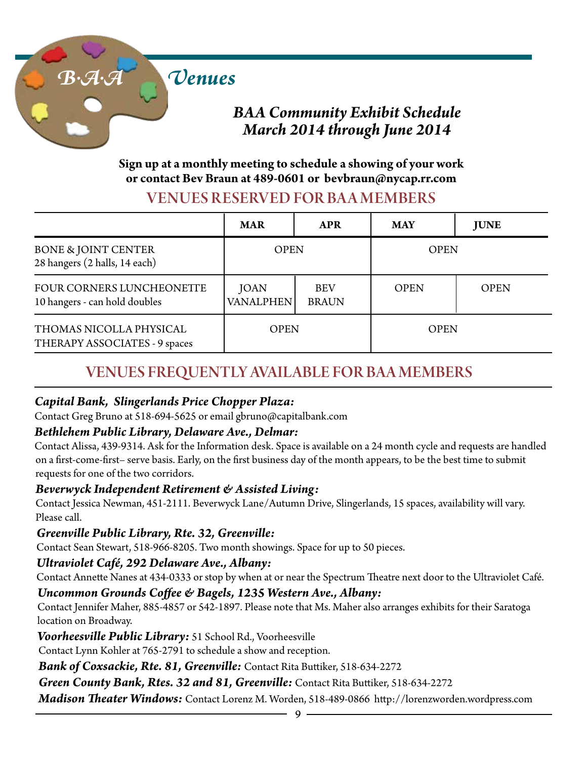

### *BAA Community Exhibit Schedule March 2014 through June 2014*

### **Sign up at a monthly meeting to schedule a showing of your work or contact Bev Braun at 489-0601 or bevbraun@nycap.rr.com**

### VENUES RESERVED FOR BA A MEMBERS

|                                                                 | <b>MAR</b>               | <b>APR</b>                 | <b>MAY</b>  | <b>JUNE</b> |
|-----------------------------------------------------------------|--------------------------|----------------------------|-------------|-------------|
| <b>BONE &amp; JOINT CENTER</b><br>28 hangers (2 halls, 14 each) | <b>OPEN</b>              |                            | <b>OPEN</b> |             |
| FOUR CORNERS LUNCHEONETTE<br>10 hangers - can hold doubles      | <b>JOAN</b><br>VANALPHEN | <b>BEV</b><br><b>BRAUN</b> | <b>OPEN</b> | <b>OPEN</b> |
| THOMAS NICOLLA PHYSICAL<br>THERAPY ASSOCIATES - 9 spaces        | <b>OPEN</b>              |                            | <b>OPEN</b> |             |

### VENUES FREQUENTLY AVAILABLE FOR BAA MEMBERS

### *Capital Bank, Slingerlands Price Chopper Plaza:*

Contact Greg Bruno at 518-694-5625 or email gbruno@capitalbank.com

### *Bethlehem Public Library, Delaware Ave., Delmar:*

Contact Alissa, 439-9314. Ask for the Information desk. Space is available on a 24 month cycle and requests are handled on a first-come-first– serve basis. Early, on the first business day of the month appears, to be the best time to submit requests for one of the two corridors.

#### *Beverwyck Independent Retirement & Assisted Living:*

Contact Jessica Newman, 451-2111. Beverwyck Lane/Autumn Drive, Slingerlands, 15 spaces, availability will vary. Please call.

#### *Greenville Public Library, Rte. 32, Greenville:*

Contact Sean Stewart, 518-966-8205. Two month showings. Space for up to 50 pieces.

### *Ultraviolet Café, 292 Delaware Ave., Albany:*

Contact Annette Nanes at 434-0333 or stop by when at or near the Spectrum Theatre next door to the Ultraviolet Café.

### *Uncommon Grounds Coffee & Bagels, 1235 Western Ave., Albany:*

Contact Jennifer Maher, 885-4857 or 542-1897. Please note that Ms. Maher also arranges exhibits for their Saratoga location on Broadway.

*Voorheesville Public Library:* 51 School Rd., Voorheesville

Contact Lynn Kohler at 765-2791 to schedule a show and reception.

*Bank of Coxsackie, Rte. 81, Greenville:* Contact Rita Buttiker, 518-634-2272

*Green County Bank, Rtes. 32 and 81, Greenville:* Contact Rita Buttiker, 518-634-2272

*Madison Theater Windows:* Contact Lorenz M. Worden, 518-489-0866 http://lorenzworden.wordpress.com